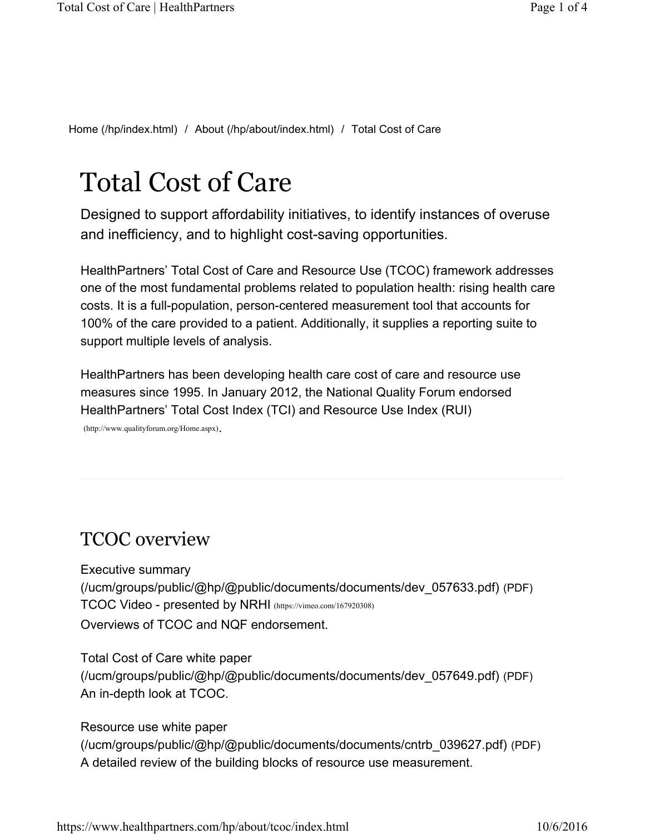Home (/hp/index.html) / About (/hp/about/index.html) / Total Cost of Care

# Total Cost of Care

Designed to support affordability initiatives, to identify instances of overuse and inefficiency, and to highlight cost-saving opportunities.

HealthPartners' Total Cost of Care and Resource Use (TCOC) framework addresses one of the most fundamental problems related to population health: rising health care costs. It is a full-population, person-centered measurement tool that accounts for 100% of the care provided to a patient. Additionally, it supplies a reporting suite to support multiple levels of analysis.

HealthPartners has been developing health care cost of care and resource use measures since 1995. In January 2012, the National Quality Forum endorsed HealthPartners' Total Cost Index (TCI) and Resource Use Index (RUI) (http://www.qualityforum.org/Home.aspx).

#### TCOC overview

Executive summary (/ucm/groups/public/@hp/@public/documents/documents/dev\_057633.pdf) (PDF) TCOC Video - presented by NRHI (https://vimeo.com/167920308) Overviews of TCOC and NQF endorsement.

Total Cost of Care white paper (/ucm/groups/public/@hp/@public/documents/documents/dev\_057649.pdf) (PDF) An in-depth look at TCOC.

Resource use white paper (/ucm/groups/public/@hp/@public/documents/documents/cntrb\_039627.pdf) (PDF) A detailed review of the building blocks of resource use measurement.

https://www.healthpartners.com/hp/about/tcoc/index.html 10/6/2016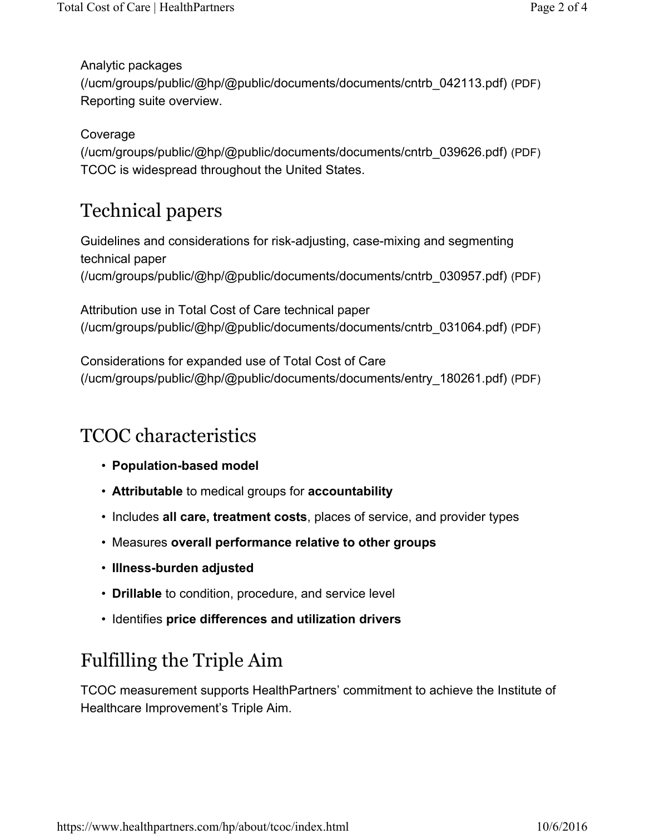Analytic packages (/ucm/groups/public/@hp/@public/documents/documents/cntrb\_042113.pdf) (PDF) Reporting suite overview.

Coverage

(/ucm/groups/public/@hp/@public/documents/documents/cntrb\_039626.pdf) (PDF) TCOC is widespread throughout the United States.

# Technical papers

Guidelines and considerations for risk-adjusting, case-mixing and segmenting technical paper (/ucm/groups/public/@hp/@public/documents/documents/cntrb\_030957.pdf) (PDF)

Attribution use in Total Cost of Care technical paper (/ucm/groups/public/@hp/@public/documents/documents/cntrb\_031064.pdf) (PDF)

Considerations for expanded use of Total Cost of Care (/ucm/groups/public/@hp/@public/documents/documents/entry\_180261.pdf) (PDF)

#### TCOC characteristics

- **Population-based model**
- **Attributable** to medical groups for **accountability**
- Includes **all care, treatment costs**, places of service, and provider types
- Measures **overall performance relative to other groups**
- **Illness-burden adjusted**
- **Drillable** to condition, procedure, and service level
- Identifies **price differences and utilization drivers**

## Fulfilling the Triple Aim

TCOC measurement supports HealthPartners' commitment to achieve the Institute of Healthcare Improvement's Triple Aim.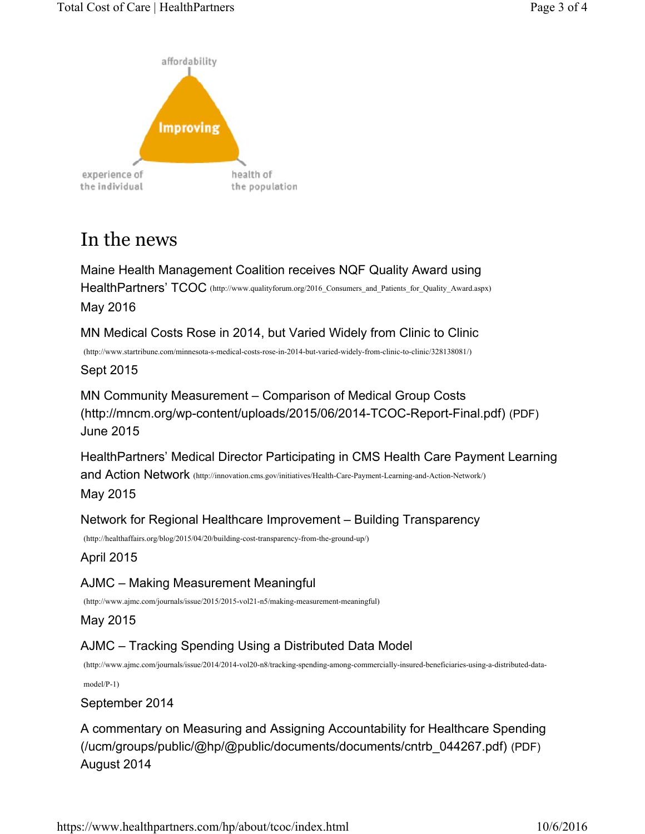



### In the news

Maine Health Management Coalition receives NQF Quality Award using HealthPartners' TCOC (http://www.qualityforum.org/2016\_Consumers\_and\_Patients\_for\_Quality\_Award.aspx) May 2016

MN Medical Costs Rose in 2014, but Varied Widely from Clinic to Clinic

(http://www.startribune.com/minnesota-s-medical-costs-rose-in-2014-but-varied-widely-from-clinic-to-clinic/328138081/)

Sept 2015

MN Community Measurement – Comparison of Medical Group Costs (http://mncm.org/wp-content/uploads/2015/06/2014-TCOC-Report-Final.pdf) (PDF) June 2015

HealthPartners' Medical Director Participating in CMS Health Care Payment Learning and Action Network (http://innovation.cms.gov/initiatives/Health-Care-Payment-Learning-and-Action-Network/) May 2015

Network for Regional Healthcare Improvement – Building Transparency

(http://healthaffairs.org/blog/2015/04/20/building-cost-transparency-from-the-ground-up/)

April 2015

AJMC – Making Measurement Meaningful

(http://www.ajmc.com/journals/issue/2015/2015-vol21-n5/making-measurement-meaningful)

May 2015

AJMC – Tracking Spending Using a Distributed Data Model

(http://www.ajmc.com/journals/issue/2014/2014-vol20-n8/tracking-spending-among-commercially-insured-beneficiaries-using-a-distributed-data-

model/P-1)

September 2014

A commentary on Measuring and Assigning Accountability for Healthcare Spending (/ucm/groups/public/@hp/@public/documents/documents/cntrb\_044267.pdf) (PDF) August 2014